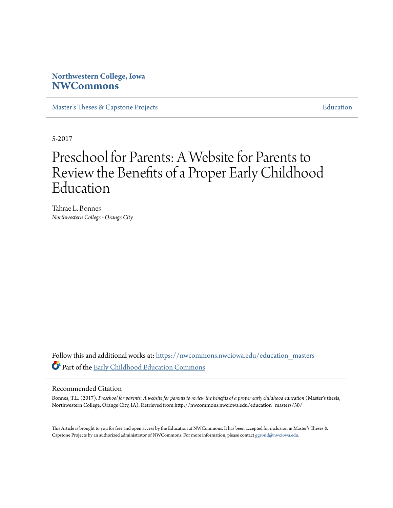#### **Northwestern College, Iowa [NWCommons](https://nwcommons.nwciowa.edu?utm_source=nwcommons.nwciowa.edu%2Feducation_masters%2F30&utm_medium=PDF&utm_campaign=PDFCoverPages)**

[Master's Theses & Capstone Projects](https://nwcommons.nwciowa.edu/education_masters?utm_source=nwcommons.nwciowa.edu%2Feducation_masters%2F30&utm_medium=PDF&utm_campaign=PDFCoverPages) **[Education](https://nwcommons.nwciowa.edu/education?utm_source=nwcommons.nwciowa.edu%2Feducation_masters%2F30&utm_medium=PDF&utm_campaign=PDFCoverPages)** 

5-2017

### Preschool for Parents: A Website for Parents to Review the Benefits of a Proper Early Childhood Education

Tahrae L. Bonnes *Northwestern College - Orange City*

Follow this and additional works at: [https://nwcommons.nwciowa.edu/education\\_masters](https://nwcommons.nwciowa.edu/education_masters?utm_source=nwcommons.nwciowa.edu%2Feducation_masters%2F30&utm_medium=PDF&utm_campaign=PDFCoverPages) Part of the [Early Childhood Education Commons](http://network.bepress.com/hgg/discipline/1377?utm_source=nwcommons.nwciowa.edu%2Feducation_masters%2F30&utm_medium=PDF&utm_campaign=PDFCoverPages)

#### Recommended Citation

Bonnes, T.L. (2017). *Preschool for parents: A website for parents to review the benefits of a proper early childhood education* (Master's thesis, Northwestern College, Orange City, IA). Retrieved from http://nwcommons.nwciowa.edu/education\_masters/30/

This Article is brought to you for free and open access by the Education at NWCommons. It has been accepted for inclusion in Master's Theses & Capstone Projects by an authorized administrator of NWCommons. For more information, please contact [ggrond@nwciowa.edu.](mailto:ggrond@nwciowa.edu)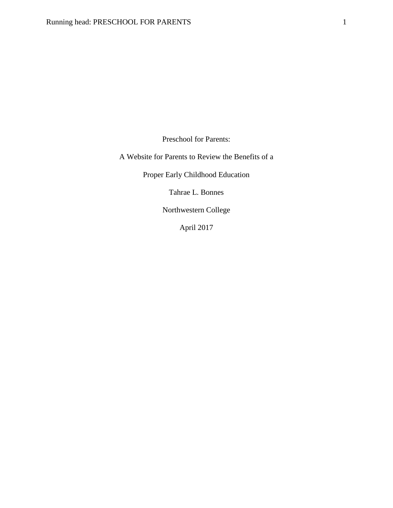Preschool for Parents:

A Website for Parents to Review the Benefits of a

Proper Early Childhood Education

Tahrae L. Bonnes

Northwestern College

April 2017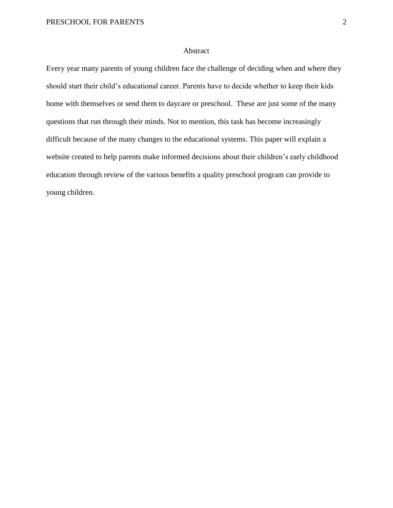#### Abstract

Every year many parents of young children face the challenge of deciding when and where they should start their child's educational career. Parents have to decide whether to keep their kids home with themselves or send them to daycare or preschool. These are just some of the many questions that run through their minds. Not to mention, this task has become increasingly difficult because of the many changes to the educational systems. This paper will explain a website created to help parents make informed decisions about their children's early childhood education through review of the various benefits a quality preschool program can provide to young children.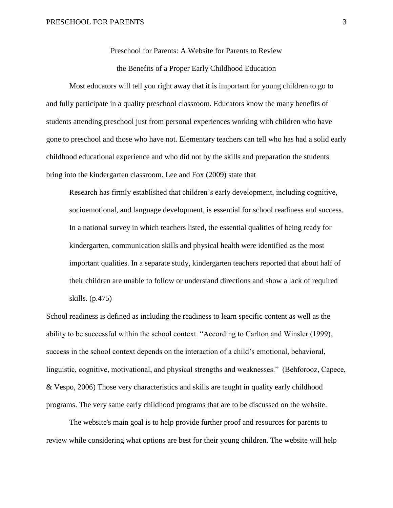Preschool for Parents: A Website for Parents to Review

the Benefits of a Proper Early Childhood Education

Most educators will tell you right away that it is important for young children to go to and fully participate in a quality preschool classroom. Educators know the many benefits of students attending preschool just from personal experiences working with children who have gone to preschool and those who have not. Elementary teachers can tell who has had a solid early childhood educational experience and who did not by the skills and preparation the students bring into the kindergarten classroom. Lee and Fox (2009) state that

Research has firmly established that children's early development, including cognitive, socioemotional, and language development, is essential for school readiness and success. In a national survey in which teachers listed, the essential qualities of being ready for kindergarten, communication skills and physical health were identified as the most important qualities. In a separate study, kindergarten teachers reported that about half of their children are unable to follow or understand directions and show a lack of required skills. (p.475)

School readiness is defined as including the readiness to learn specific content as well as the ability to be successful within the school context. "According to Carlton and Winsler (1999), success in the school context depends on the interaction of a child's emotional, behavioral, linguistic, cognitive, motivational, and physical strengths and weaknesses." (Behforooz, Capece, & Vespo, 2006) Those very characteristics and skills are taught in quality early childhood programs. The very same early childhood programs that are to be discussed on the website.

The website's main goal is to help provide further proof and resources for parents to review while considering what options are best for their young children. The website will help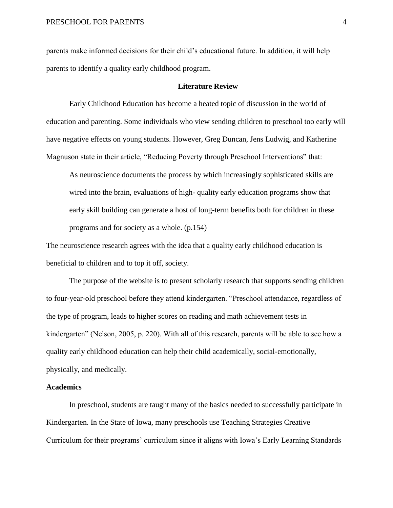parents make informed decisions for their child's educational future. In addition, it will help parents to identify a quality early childhood program.

#### **Literature Review**

Early Childhood Education has become a heated topic of discussion in the world of education and parenting. Some individuals who view sending children to preschool too early will have negative effects on young students. However, Greg Duncan, Jens Ludwig, and Katherine Magnuson state in their article, "Reducing Poverty through Preschool Interventions" that:

As neuroscience documents the process by which increasingly sophisticated skills are wired into the brain, evaluations of high- quality early education programs show that early skill building can generate a host of long-term benefits both for children in these programs and for society as a whole. (p.154)

The neuroscience research agrees with the idea that a quality early childhood education is beneficial to children and to top it off, society.

The purpose of the website is to present scholarly research that supports sending children to four-year-old preschool before they attend kindergarten. "Preschool attendance, regardless of the type of program, leads to higher scores on reading and math achievement tests in kindergarten" (Nelson, 2005, p. 220). With all of this research, parents will be able to see how a quality early childhood education can help their child academically, social-emotionally, physically, and medically.

#### **Academics**

In preschool, students are taught many of the basics needed to successfully participate in Kindergarten. In the State of Iowa, many preschools use Teaching Strategies Creative Curriculum for their programs' curriculum since it aligns with Iowa's Early Learning Standards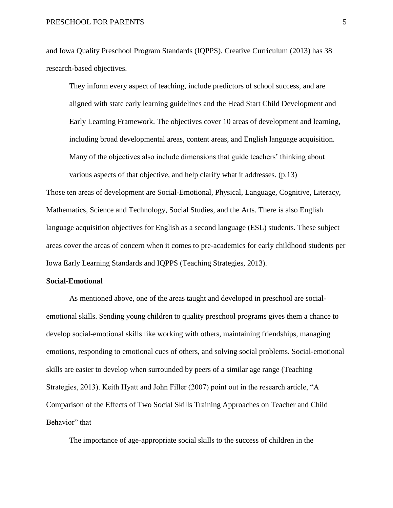and Iowa Quality Preschool Program Standards (IQPPS). Creative Curriculum (2013) has 38 research-based objectives.

They inform every aspect of teaching, include predictors of school success, and are aligned with state early learning guidelines and the Head Start Child Development and Early Learning Framework. The objectives cover 10 areas of development and learning, including broad developmental areas, content areas, and English language acquisition. Many of the objectives also include dimensions that guide teachers' thinking about various aspects of that objective, and help clarify what it addresses. (p.13)

Those ten areas of development are Social-Emotional, Physical, Language, Cognitive, Literacy, Mathematics, Science and Technology, Social Studies, and the Arts. There is also English language acquisition objectives for English as a second language (ESL) students. These subject areas cover the areas of concern when it comes to pre-academics for early childhood students per Iowa Early Learning Standards and IQPPS (Teaching Strategies, 2013).

#### **Social-Emotional**

As mentioned above, one of the areas taught and developed in preschool are socialemotional skills. Sending young children to quality preschool programs gives them a chance to develop social-emotional skills like working with others, maintaining friendships, managing emotions, responding to emotional cues of others, and solving social problems. Social-emotional skills are easier to develop when surrounded by peers of a similar age range (Teaching Strategies, 2013). Keith Hyatt and John Filler (2007) point out in the research article, "A Comparison of the Effects of Two Social Skills Training Approaches on Teacher and Child Behavior" that

The importance of age-appropriate social skills to the success of children in the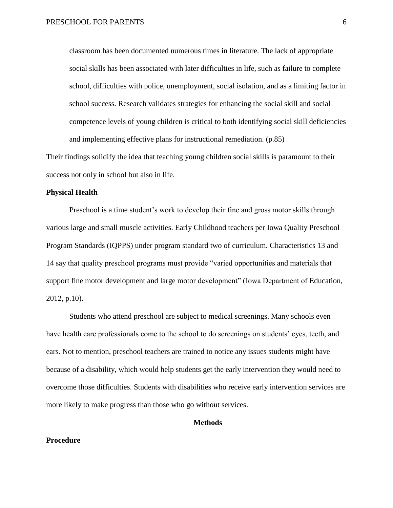classroom has been documented numerous times in literature. The lack of appropriate social skills has been associated with later difficulties in life, such as failure to complete school, difficulties with police, unemployment, social isolation, and as a limiting factor in school success. Research validates strategies for enhancing the social skill and social competence levels of young children is critical to both identifying social skill deficiencies and implementing effective plans for instructional remediation. (p.85)

Their findings solidify the idea that teaching young children social skills is paramount to their success not only in school but also in life.

#### **Physical Health**

Preschool is a time student's work to develop their fine and gross motor skills through various large and small muscle activities. Early Childhood teachers per Iowa Quality Preschool Program Standards (IQPPS) under program standard two of curriculum. Characteristics 13 and 14 say that quality preschool programs must provide "varied opportunities and materials that support fine motor development and large motor development" (Iowa Department of Education, 2012, p.10).

Students who attend preschool are subject to medical screenings. Many schools even have health care professionals come to the school to do screenings on students' eyes, teeth, and ears. Not to mention, preschool teachers are trained to notice any issues students might have because of a disability, which would help students get the early intervention they would need to overcome those difficulties. Students with disabilities who receive early intervention services are more likely to make progress than those who go without services.

#### **Methods**

#### **Procedure**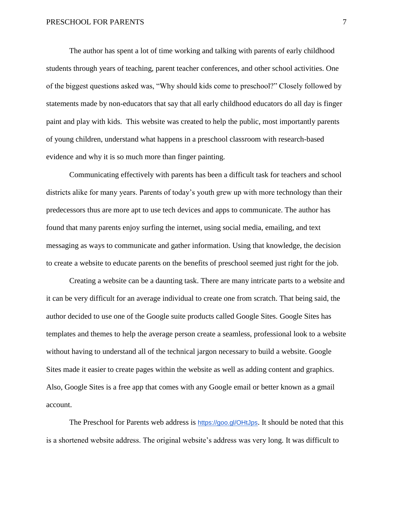The author has spent a lot of time working and talking with parents of early childhood students through years of teaching, parent teacher conferences, and other school activities. One of the biggest questions asked was, "Why should kids come to preschool?" Closely followed by statements made by non-educators that say that all early childhood educators do all day is finger paint and play with kids. This website was created to help the public, most importantly parents of young children, understand what happens in a preschool classroom with research-based evidence and why it is so much more than finger painting.

Communicating effectively with parents has been a difficult task for teachers and school districts alike for many years. Parents of today's youth grew up with more technology than their predecessors thus are more apt to use tech devices and apps to communicate. The author has found that many parents enjoy surfing the internet, using social media, emailing, and text messaging as ways to communicate and gather information. Using that knowledge, the decision to create a website to educate parents on the benefits of preschool seemed just right for the job.

Creating a website can be a daunting task. There are many intricate parts to a website and it can be very difficult for an average individual to create one from scratch. That being said, the author decided to use one of the Google suite products called Google Sites. Google Sites has templates and themes to help the average person create a seamless, professional look to a website without having to understand all of the technical jargon necessary to build a website. Google Sites made it easier to create pages within the website as well as adding content and graphics. Also, Google Sites is a free app that comes with any Google email or better known as a gmail account.

The Preschool for Parents web address is <https://goo.gl/OHtJps>. It should be noted that this is a shortened website address. The original website's address was very long. It was difficult to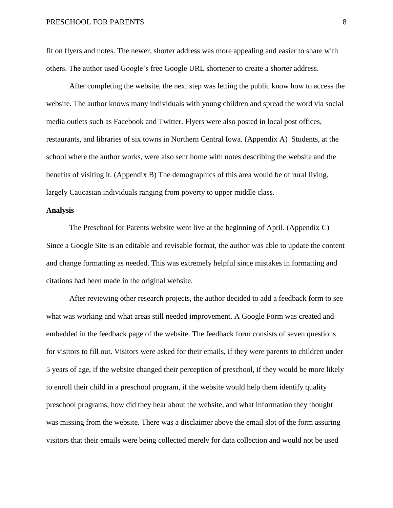fit on flyers and notes. The newer, shorter address was more appealing and easier to share with others. The author used Google's free Google URL shortener to create a shorter address.

After completing the website, the next step was letting the public know how to access the website. The author knows many individuals with young children and spread the word via social media outlets such as Facebook and Twitter. Flyers were also posted in local post offices, restaurants, and libraries of six towns in Northern Central Iowa. (Appendix A) Students, at the school where the author works, were also sent home with notes describing the website and the benefits of visiting it. (Appendix B) The demographics of this area would be of rural living, largely Caucasian individuals ranging from poverty to upper middle class.

#### **Analysis**

The Preschool for Parents website went live at the beginning of April. (Appendix C) Since a Google Site is an editable and revisable format, the author was able to update the content and change formatting as needed. This was extremely helpful since mistakes in formatting and citations had been made in the original website.

After reviewing other research projects, the author decided to add a feedback form to see what was working and what areas still needed improvement. A Google Form was created and embedded in the feedback page of the website. The feedback form consists of seven questions for visitors to fill out. Visitors were asked for their emails, if they were parents to children under 5 years of age, if the website changed their perception of preschool, if they would be more likely to enroll their child in a preschool program, if the website would help them identify quality preschool programs, how did they hear about the website, and what information they thought was missing from the website. There was a disclaimer above the email slot of the form assuring visitors that their emails were being collected merely for data collection and would not be used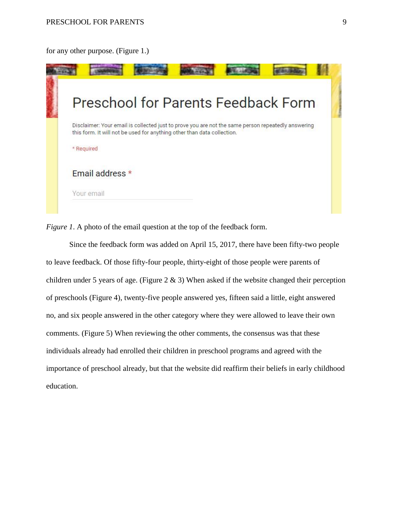#### for any other purpose. (Figure 1.)



*Figure 1.* A photo of the email question at the top of the feedback form.

Since the feedback form was added on April 15, 2017, there have been fifty-two people to leave feedback. Of those fifty-four people, thirty-eight of those people were parents of children under 5 years of age. (Figure  $2 \& 3$ ) When asked if the website changed their perception of preschools (Figure 4), twenty-five people answered yes, fifteen said a little, eight answered no, and six people answered in the other category where they were allowed to leave their own comments. (Figure 5) When reviewing the other comments, the consensus was that these individuals already had enrolled their children in preschool programs and agreed with the importance of preschool already, but that the website did reaffirm their beliefs in early childhood education.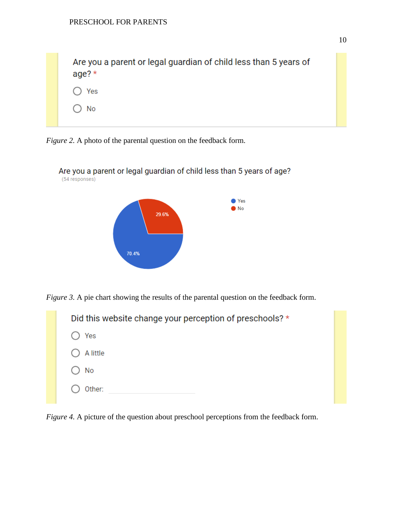Are you a parent or legal guardian of child less than 5 years of age?\* Yes No







*Figure 3.* A pie chart showing the results of the parental question on the feedback form.

| Did this website change your perception of preschools? * |
|----------------------------------------------------------|
| Yes                                                      |
| A little                                                 |
| No                                                       |
| Other:                                                   |

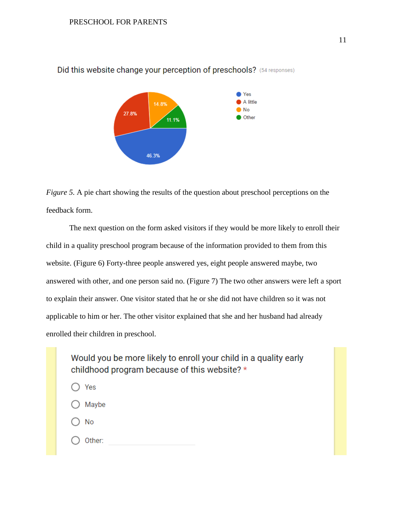

Did this website change your perception of preschools? (54 responses)

*Figure 5.* A pie chart showing the results of the question about preschool perceptions on the feedback form.

The next question on the form asked visitors if they would be more likely to enroll their child in a quality preschool program because of the information provided to them from this website. (Figure 6) Forty-three people answered yes, eight people answered maybe, two answered with other, and one person said no. (Figure 7) The two other answers were left a sport to explain their answer. One visitor stated that he or she did not have children so it was not applicable to him or her. The other visitor explained that she and her husband had already enrolled their children in preschool.

Would you be more likely to enroll your child in a quality early childhood program because of this website? \*

- Yes Maybe
- No
- Other: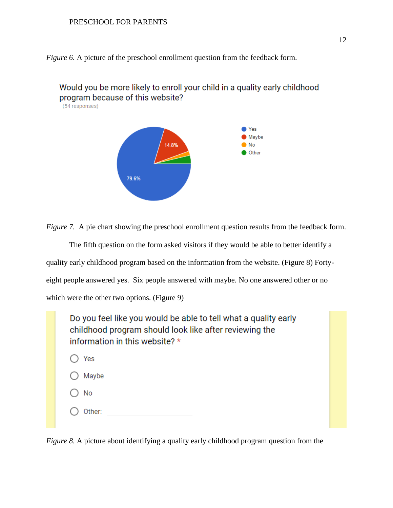*Figure 6.* A picture of the preschool enrollment question from the feedback form.



*Figure 7.* A pie chart showing the preschool enrollment question results from the feedback form.

The fifth question on the form asked visitors if they would be able to better identify a quality early childhood program based on the information from the website. (Figure 8) Fortyeight people answered yes. Six people answered with maybe. No one answered other or no which were the other two options. (Figure 9)

| Do you feel like you would be able to tell what a quality early<br>childhood program should look like after reviewing the<br>information in this website? * |  |  |  |  |  |  |
|-------------------------------------------------------------------------------------------------------------------------------------------------------------|--|--|--|--|--|--|
| Yes                                                                                                                                                         |  |  |  |  |  |  |
| Maybe                                                                                                                                                       |  |  |  |  |  |  |
| No                                                                                                                                                          |  |  |  |  |  |  |
| Other:                                                                                                                                                      |  |  |  |  |  |  |

*Figure 8.* A picture about identifying a quality early childhood program question from the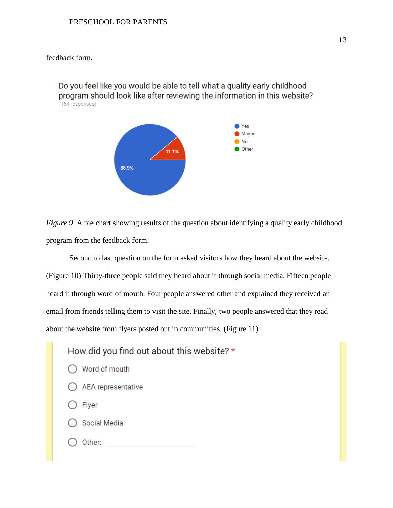#### feedback form.

Do you feel like you would be able to tell what a quality early childhood program should look like after reviewing the information in this website? (54 responses)



*Figure 9.* A pie chart showing results of the question about identifying a quality early childhood program from the feedback form.

Second to last question on the form asked visitors how they heard about the website. (Figure 10) Thirty-three people said they heard about it through social media. Fifteen people heard it through word of mouth. Four people answered other and explained they received an email from friends telling them to visit the site. Finally, two people answered that they read about the website from flyers posted out in communities. (Figure 11)

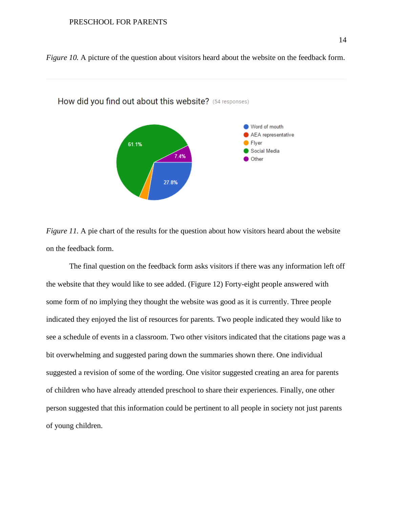



How did you find out about this website? (54 responses)

*Figure 11.* A pie chart of the results for the question about how visitors heard about the website on the feedback form.

The final question on the feedback form asks visitors if there was any information left off the website that they would like to see added. (Figure 12) Forty-eight people answered with some form of no implying they thought the website was good as it is currently. Three people indicated they enjoyed the list of resources for parents. Two people indicated they would like to see a schedule of events in a classroom. Two other visitors indicated that the citations page was a bit overwhelming and suggested paring down the summaries shown there. One individual suggested a revision of some of the wording. One visitor suggested creating an area for parents of children who have already attended preschool to share their experiences. Finally, one other person suggested that this information could be pertinent to all people in society not just parents of young children.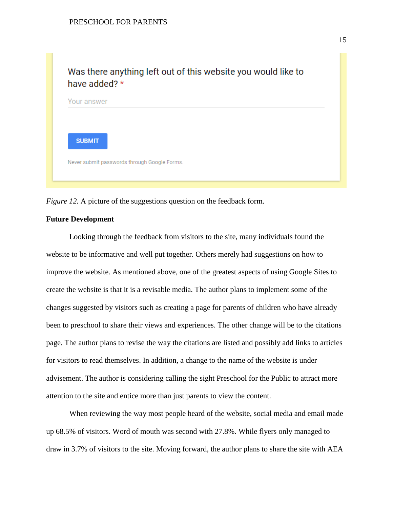

*Figure 12.* A picture of the suggestions question on the feedback form.

#### **Future Development**

Looking through the feedback from visitors to the site, many individuals found the website to be informative and well put together. Others merely had suggestions on how to improve the website. As mentioned above, one of the greatest aspects of using Google Sites to create the website is that it is a revisable media. The author plans to implement some of the changes suggested by visitors such as creating a page for parents of children who have already been to preschool to share their views and experiences. The other change will be to the citations page. The author plans to revise the way the citations are listed and possibly add links to articles for visitors to read themselves. In addition, a change to the name of the website is under advisement. The author is considering calling the sight Preschool for the Public to attract more attention to the site and entice more than just parents to view the content.

When reviewing the way most people heard of the website, social media and email made up 68.5% of visitors. Word of mouth was second with 27.8%. While flyers only managed to draw in 3.7% of visitors to the site. Moving forward, the author plans to share the site with AEA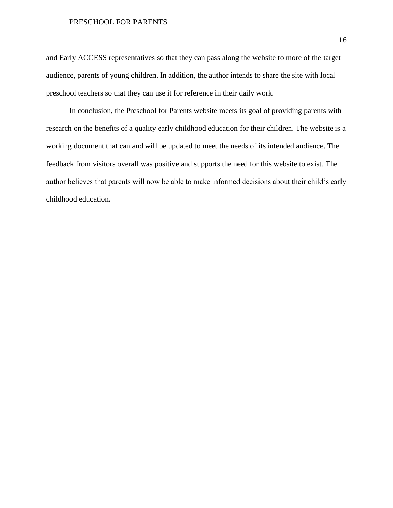and Early ACCESS representatives so that they can pass along the website to more of the target audience, parents of young children. In addition, the author intends to share the site with local preschool teachers so that they can use it for reference in their daily work.

In conclusion, the Preschool for Parents website meets its goal of providing parents with research on the benefits of a quality early childhood education for their children. The website is a working document that can and will be updated to meet the needs of its intended audience. The feedback from visitors overall was positive and supports the need for this website to exist. The author believes that parents will now be able to make informed decisions about their child's early childhood education.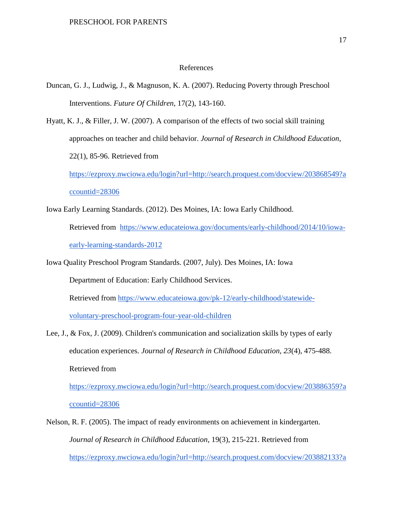#### References

- Duncan, G. J., Ludwig, J., & Magnuson, K. A. (2007). Reducing Poverty through Preschool Interventions. *Future Of Children*, 17(2), 143-160.
- Hyatt, K. J., & Filler, J. W. (2007). A comparison of the effects of two social skill training approaches on teacher and child behavior. *Journal of Research in Childhood Education*, 22(1), 85-96. Retrieved from

[https://ezproxy.nwciowa.edu/login?url=http://search.proquest.com/docview/203868549?a](https://ezproxy.nwciowa.edu/login?url=http://search.proquest.com/docview/203868549?accountid=28306) [ccountid=28306](https://ezproxy.nwciowa.edu/login?url=http://search.proquest.com/docview/203868549?accountid=28306)

Iowa Early Learning Standards. (2012). Des Moines, IA: Iowa Early Childhood.

Retrieved from [https://www.educateiowa.gov/documents/early-childhood/2014/10/iowa](https://www.educateiowa.gov/documents/early-childhood/2014/10/iowa-early-learning-standards-2012)[early-learning-standards-2012](https://www.educateiowa.gov/documents/early-childhood/2014/10/iowa-early-learning-standards-2012)

Iowa Quality Preschool Program Standards. (2007, July). Des Moines, IA: Iowa

Department of Education: Early Childhood Services.

Retrieved from [https://www.educateiowa.gov/pk-12/early-childhood/statewide-](https://www.educateiowa.gov/pk-12/early-childhood/statewide-voluntary-preschool-program-four-year-old-children)

[voluntary-preschool-program-four-year-old-children](https://www.educateiowa.gov/pk-12/early-childhood/statewide-voluntary-preschool-program-four-year-old-children)

Lee, J., & Fox, J. (2009). Children's communication and socialization skills by types of early education experiences. *Journal of Research in Childhood Education, 23*(4), 475-488. Retrieved from [https://ezproxy.nwciowa.edu/login?url=http://search.proquest.com/docview/203886359?a](https://ezproxy.nwciowa.edu/login?url=http://search.proquest.com/docview/203886359?accountid=28306)

[ccountid=28306](https://ezproxy.nwciowa.edu/login?url=http://search.proquest.com/docview/203886359?accountid=28306)

Nelson, R. F. (2005). The impact of ready environments on achievement in kindergarten. *Journal of Research in Childhood Education*, 19(3), 215-221. Retrieved from [https://ezproxy.nwciowa.edu/login?url=http://search.proquest.com/docview/203882133?a](https://ezproxy.nwciowa.edu/login?url=http://search.proquest.com/docview/203882133?accountid=28306)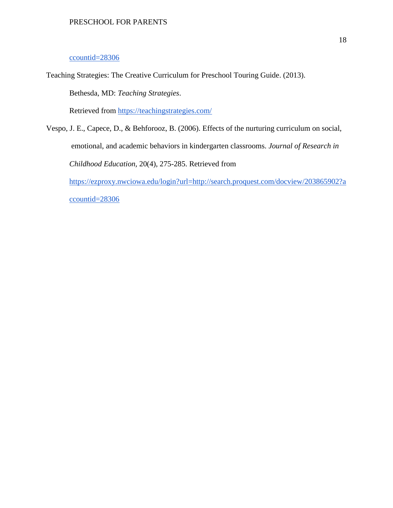#### [ccountid=28306](https://ezproxy.nwciowa.edu/login?url=http://search.proquest.com/docview/203882133?accountid=28306)

Teaching Strategies: The Creative Curriculum for Preschool Touring Guide. (2013).

Bethesda, MD: *Teaching Strategies*.

Retrieved from<https://teachingstrategies.com/>

Vespo, J. E., Capece, D., & Behforooz, B. (2006). Effects of the nurturing curriculum on social, emotional, and academic behaviors in kindergarten classrooms. *Journal of Research in Childhood Education,* 20(4), 275-285. Retrieved from

[https://ezproxy.nwciowa.edu/login?url=http://search.proquest.com/docview/203865902?a](https://ezproxy.nwciowa.edu/login?url=http://search.proquest.com/docview/203865902?accountid=28306) [ccountid=28306](https://ezproxy.nwciowa.edu/login?url=http://search.proquest.com/docview/203865902?accountid=28306)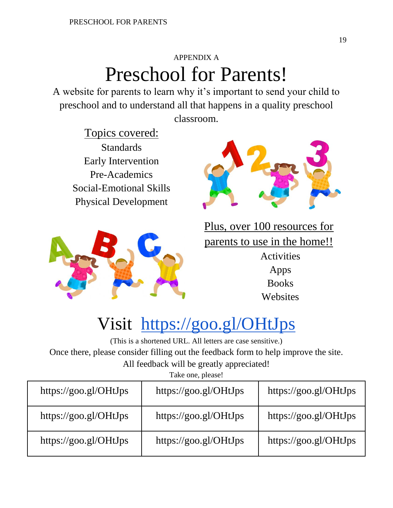### APPENDIX A Preschool for Parents!

A website for parents to learn why it's important to send your child to preschool and to understand all that happens in a quality preschool classroom.

Topics covered: Standards Early Intervention Pre-Academics Social-Emotional Skills Physical Development





Plus, over 100 resources for parents to use in the home!! Activities Apps **Books Websites** 

## Visit <https://goo.gl/OHtJps>

(This is a shortened URL. All letters are case sensitive.) Once there, please consider filling out the feedback form to help improve the site. All feedback will be greatly appreciated!

Take one, please!

| https://goo.gl/OHtJps | https://goo.gl/OHtJps | https://goo.gl/OHtJps |  |  |  |  |  |  |
|-----------------------|-----------------------|-----------------------|--|--|--|--|--|--|
| https://goo.gl/OHtJps | https://goo.gl/OHtJps | https://goo.gl/OHtJps |  |  |  |  |  |  |
| https://goo.gl/OHtJps | https://goo.gl/OHtJps | https://goo.gl/OHtJps |  |  |  |  |  |  |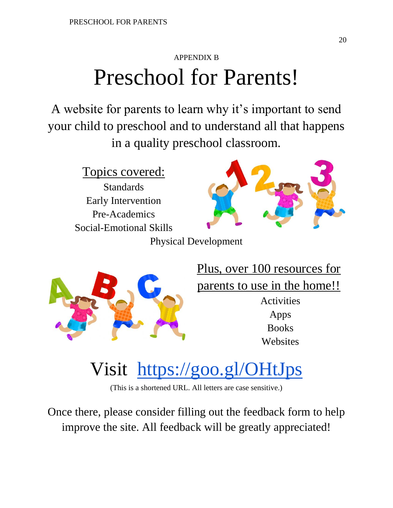## APPENDIX B Preschool for Parents!

A website for parents to learn why it's important to send your child to preschool and to understand all that happens in a quality preschool classroom.

Topics covered:

Standards Early Intervention Pre-Academics Social-Emotional Skills



Physical Development



Plus, over 100 resources for parents to use in the home!! **Activities** 

> Apps Books **Websites**

# Visit <https://goo.gl/OHtJps>

(This is a shortened URL. All letters are case sensitive.)

Once there, please consider filling out the feedback form to help improve the site. All feedback will be greatly appreciated!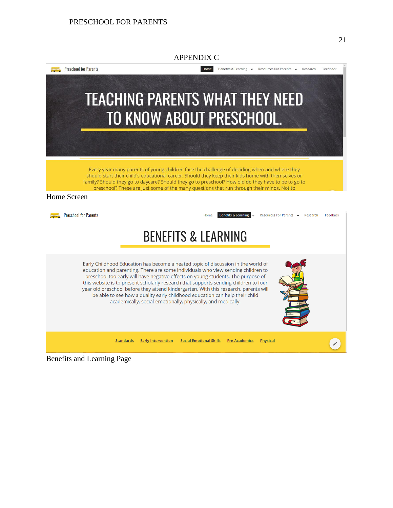

Benefits and Learning Page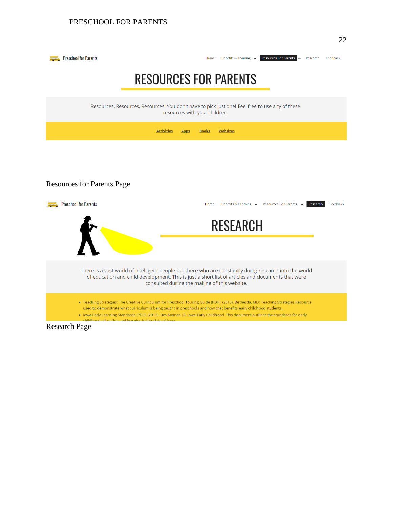

### **RESOURCES FOR PARENTS**

Resources, Resources, Resources! You don't have to pick just one! Feel free to use any of these resources with your children.

|                                                                                                                                                                                                                                                             | <b>Activities</b> | <b>Apps</b> | <b>Books</b> | <b>Websites</b>                                                                                                                                                                                                                                                             |          |
|-------------------------------------------------------------------------------------------------------------------------------------------------------------------------------------------------------------------------------------------------------------|-------------------|-------------|--------------|-----------------------------------------------------------------------------------------------------------------------------------------------------------------------------------------------------------------------------------------------------------------------------|----------|
|                                                                                                                                                                                                                                                             |                   |             |              |                                                                                                                                                                                                                                                                             |          |
| <b>Resources for Parents Page</b>                                                                                                                                                                                                                           |                   |             |              |                                                                                                                                                                                                                                                                             |          |
| <b>Preschool for Parents</b>                                                                                                                                                                                                                                |                   |             | Home         | Resources For Parents v<br>Benefits & Learning $\vee$<br>Research                                                                                                                                                                                                           | Feedback |
|                                                                                                                                                                                                                                                             |                   |             |              | <b>RESEARCH</b>                                                                                                                                                                                                                                                             |          |
|                                                                                                                                                                                                                                                             |                   |             |              |                                                                                                                                                                                                                                                                             |          |
| There is a vast world of intelligent people out there who are constantly doing research into the world<br>of education and child development. This is just a short list of articles and documents that were<br>consulted during the making of this website. |                   |             |              |                                                                                                                                                                                                                                                                             |          |
| used to demonstrate what curriculum is being taught in preschools and how that benefits early childhood students.                                                                                                                                           |                   |             |              | " Teaching Strategies: The Creative Curriculum for Preschool Touring Guide [PDF]. (2013). Bethesda, MD: Teaching Strategies.Resource<br>. Iowa Early Learning Standards [PDF]. (2012). Des Moines, IA: Iowa Early Childhood. This document outlines the standards for early |          |
| childhood oducation and loarning in the state of lows<br>Research Page                                                                                                                                                                                      |                   |             |              |                                                                                                                                                                                                                                                                             |          |

Research Page